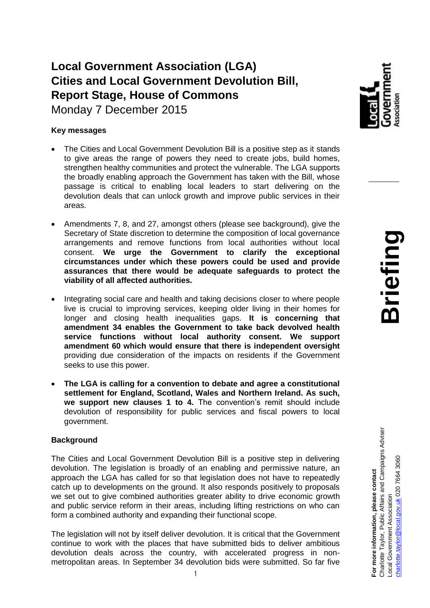# **Local Government Association (LGA) Cities and Local Government Devolution Bill, Report Stage, House of Commons** Monday 7 December 2015

### **Key messages**

- The Cities and Local Government Devolution Bill is a positive step as it stands to give areas the range of powers they need to create jobs, build homes, strengthen healthy communities and protect the vulnerable. The LGA supports the broadly enabling approach the Government has taken with the Bill, whose passage is critical to enabling local leaders to start delivering on the devolution deals that can unlock growth and improve public services in their areas.
- Amendments 7, 8, and 27, amongst others (please see background), give the Secretary of State discretion to determine the composition of local governance arrangements and remove functions from local authorities without local consent. **We urge the Government to clarify the exceptional circumstances under which these powers could be used and provide assurances that there would be adequate safeguards to protect the viability of all affected authorities.**
- Integrating social care and health and taking decisions closer to where people live is crucial to improving services, keeping older living in their homes for longer and closing health inequalities gaps. **It is concerning that amendment 34 enables the Government to take back devolved health service functions without local authority consent. We support amendment 60 which would ensure that there is independent oversight**  providing due consideration of the impacts on residents if the Government seeks to use this power.
- **The LGA is calling for a convention to debate and agree a constitutional settlement for England, Scotland, Wales and Northern Ireland. As such, we support new clauses 1 to 4.** The convention's remit should include devolution of responsibility for public services and fiscal powers to local government.

#### **Background**

The Cities and Local Government Devolution Bill is a positive step in delivering devolution. The legislation is broadly of an enabling and permissive nature, an approach the LGA has called for so that legislation does not have to repeatedly catch up to developments on the ground. It also responds positively to proposals we set out to give combined authorities greater ability to drive economic growth and public service reform in their areas, including lifting restrictions on who can form a combined authority and expanding their functional scope.

The legislation will not by itself deliver devolution. It is critical that the Government continue to work with the places that have submitted bids to deliver ambitious devolution deals across the country, with accelerated progress in nonmetropolitan areas. In September 34 devolution bids were submitted. So far five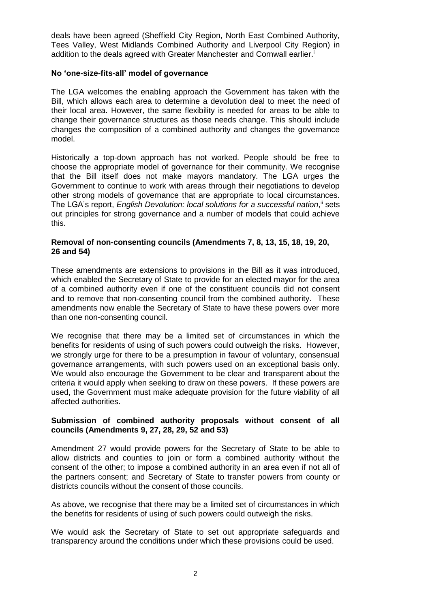deals have been agreed (Sheffield City Region, North East Combined Authority, Tees Valley, West Midlands Combined Authority and Liverpool City Region) in addition to the deals agreed with Greater Manchester and Cornwall earlier.<sup>i</sup>

#### **No 'one-size-fits-all' model of governance**

The LGA welcomes the enabling approach the Government has taken with the Bill, which allows each area to determine a devolution deal to meet the need of their local area. However, the same flexibility is needed for areas to be able to change their governance structures as those needs change. This should include changes the composition of a combined authority and changes the governance model.

Historically a top-down approach has not worked. People should be free to choose the appropriate model of governance for their community. We recognise that the Bill itself does not make mayors mandatory. The LGA urges the Government to continue to work with areas through their negotiations to develop other strong models of governance that are appropriate to local circumstances. The LGA's report, *English Devolution: local solutions for a successful nation*,<sup>ii</sup> sets out principles for strong governance and a number of models that could achieve this.

# **Removal of non-consenting councils (Amendments 7, 8, 13, 15, 18, 19, 20, 26 and 54)**

These amendments are extensions to provisions in the Bill as it was introduced, which enabled the Secretary of State to provide for an elected mayor for the area of a combined authority even if one of the constituent councils did not consent and to remove that non-consenting council from the combined authority. These amendments now enable the Secretary of State to have these powers over more than one non-consenting council.

We recognise that there may be a limited set of circumstances in which the benefits for residents of using of such powers could outweigh the risks. However, we strongly urge for there to be a presumption in favour of voluntary, consensual governance arrangements, with such powers used on an exceptional basis only. We would also encourage the Government to be clear and transparent about the criteria it would apply when seeking to draw on these powers. If these powers are used, the Government must make adequate provision for the future viability of all affected authorities.

#### **Submission of combined authority proposals without consent of all councils (Amendments 9, 27, 28, 29, 52 and 53)**

Amendment 27 would provide powers for the Secretary of State to be able to allow districts and counties to join or form a combined authority without the consent of the other; to impose a combined authority in an area even if not all of the partners consent; and Secretary of State to transfer powers from county or districts councils without the consent of those councils.

As above, we recognise that there may be a limited set of circumstances in which the benefits for residents of using of such powers could outweigh the risks.

We would ask the Secretary of State to set out appropriate safeguards and transparency around the conditions under which these provisions could be used.